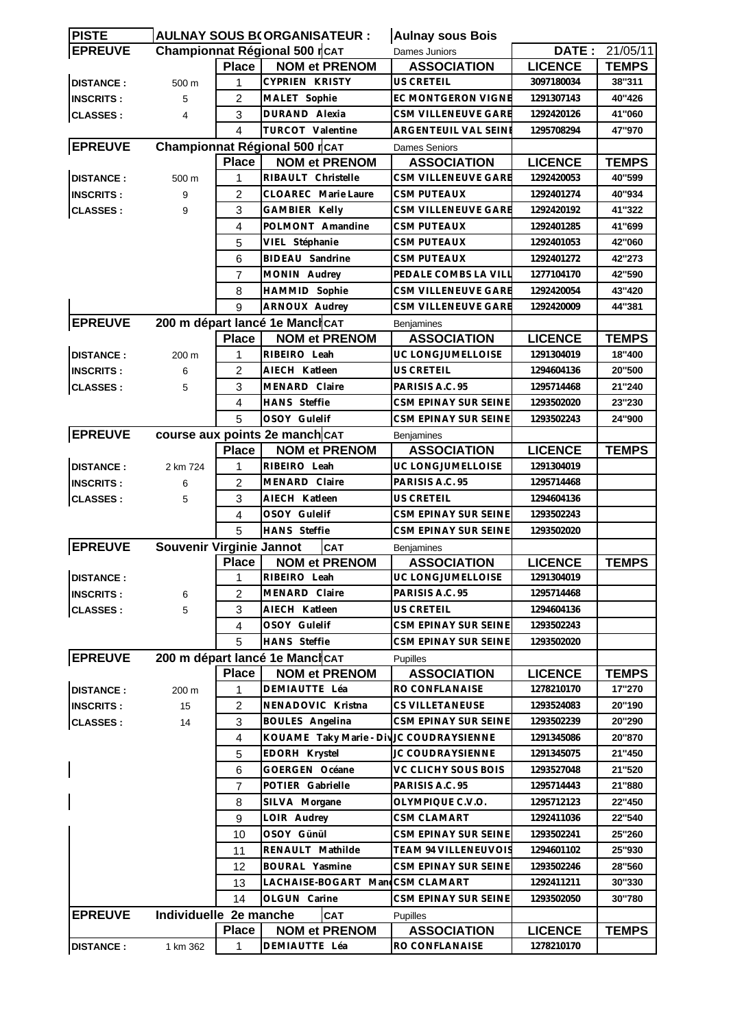| <b>PISTE</b>     |                          |                | <b>AULNAY SOUS B(ORGANISATEUR:</b>       | <b>Aulnay sous Bois</b>    |                |                       |
|------------------|--------------------------|----------------|------------------------------------------|----------------------------|----------------|-----------------------|
| <b>EPREUVE</b>   |                          |                | Championnat Régional 500 rCAT            | Dames Juniors              |                | <b>DATE: 21/05/11</b> |
|                  |                          | <b>Place</b>   | <b>NOM et PRENOM</b>                     | <b>ASSOCIATION</b>         | <b>LICENCE</b> | <b>TEMPS</b>          |
| <b>DISTANCE:</b> | 500 m                    | 1              | <b>CYPRIEN KRISTY</b>                    | <b>US CRETEIL</b>          | 3097180034     | 38"311                |
| <b>INSCRITS:</b> | 5                        | 2              | MALET Sophie                             | <b>EC MONTGERON VIGNE</b>  | 1291307143     | 40"426                |
| <b>CLASSES:</b>  | 4                        | 3              | DURAND Alexia                            | CSM VILLENEUVE GARE        | 1292420126     | 41"060                |
|                  |                          | 4              | TURCOT Valentine                         | ARGENTEUIL VAL SEINE       | 1295708294     | 47"970                |
| <b>EPREUVE</b>   |                          |                | Championnat Régional 500 rCAT            | <b>Dames Seniors</b>       |                |                       |
|                  |                          | <b>Place</b>   | <b>NOM et PRENOM</b>                     | <b>ASSOCIATION</b>         | <b>LICENCE</b> | <b>TEMPS</b>          |
| <b>DISTANCE:</b> | 500 m                    | 1              | RIBAULT Christelle                       | CSM VILLENEUVE GARE        | 1292420053     | 40"599                |
| <b>INSCRITS:</b> | 9                        | 2              | CLOAREC Marie Laure                      | <b>CSM PUTEAUX</b>         | 1292401274     | 40"934                |
| <b>CLASSES:</b>  | 9                        | 3              | <b>GAMBIER Kelly</b>                     | CSM VILLENEUVE GARE        | 1292420192     | 41"322                |
|                  |                          | 4              | POLMONT Amandine                         | <b>CSM PUTEAUX</b>         | 1292401285     | 41"699                |
|                  |                          | 5              | VIEL Stéphanie                           | CSM PUTEAUX                | 1292401053     | 42"060                |
|                  |                          |                | BIDEAU Sandrine                          |                            |                |                       |
|                  |                          | 6              |                                          | CSM PUTEAUX                | 1292401272     | 42"273                |
|                  |                          | 7              | MONIN Audrey                             | PEDALE COMBS LA VILI       | 1277104170     | 42"590                |
|                  |                          | 8              | HAMMID Sophie                            | CSM VILLENEUVE GARE        | 1292420054     | 43"420                |
|                  |                          | 9              | ARNOUX Audrey                            | <b>CSM VILLENEUVE GARE</b> | 1292420009     | 44"381                |
| <b>EPREUVE</b>   |                          |                | 200 m départ lancé 1e Manch CAT          | Benjamines                 |                |                       |
|                  |                          | <b>Place</b>   | <b>NOM et PRENOM</b>                     | <b>ASSOCIATION</b>         | <b>LICENCE</b> | <b>TEMPS</b>          |
| <b>DISTANCE:</b> | 200 m                    | 1              | RIBEIRO Leah                             | UC LONGJUMELLOISE          | 1291304019     | 18"400                |
| <b>INSCRITS:</b> | 6                        | $\overline{2}$ | AIECH Katleen                            | <b>US CRETEIL</b>          | 1294604136     | 20"500                |
| <b>CLASSES:</b>  | 5                        | 3              | MENARD Claire                            | PARISIS A.C. 95            | 1295714468     | 21"240                |
|                  |                          | 4              | <b>HANS</b> Steffie                      | CSM EPINAY SUR SEINE       | 1293502020     | 23"230                |
|                  |                          | 5              | OSOY Gulelif                             | CSM EPINAY SUR SEINE       | 1293502243     | 24"900                |
| <b>EPREUVE</b>   |                          |                | course aux points 2e manch CAT           | <b>Benjamines</b>          |                |                       |
|                  |                          | <b>Place</b>   | <b>NOM et PRENOM</b>                     | <b>ASSOCIATION</b>         | <b>LICENCE</b> | <b>TEMPS</b>          |
| <b>DISTANCE:</b> | 2 km 724                 | 1              | RIBEIRO Leah                             | UC LONGJUMELLOISE          | 1291304019     |                       |
| <b>INSCRITS:</b> | 6                        | 2              | MENARD Claire                            | PARISIS A.C. 95            | 1295714468     |                       |
| <b>CLASSES:</b>  | 5                        | 3              | AIECH Katleen                            | <b>US CRETEIL</b>          | 1294604136     |                       |
|                  |                          | 4              | OSOY Gulelif                             | CSM EPINAY SUR SEINE       | 1293502243     |                       |
|                  |                          | 5              | <b>HANS</b> Steffie                      | CSM EPINAY SUR SEINE       | 1293502020     |                       |
| <b>EPREUVE</b>   | Souvenir Virginie Jannot |                | <b>CAT</b>                               | <b>Benjamines</b>          |                |                       |
|                  |                          | <b>Place</b>   | <b>NOM et PRENOM</b>                     | <b>ASSOCIATION</b>         | <b>LICENCE</b> | <b>TEMPS</b>          |
| <b>DISTANCE:</b> |                          | 1              | RIBEIRO Leah                             | UC LONGJUMELLOISE          | 1291304019     |                       |
| <b>INSCRITS:</b> | 6                        | 2              | MENARD Claire                            | PARISIS A.C. 95            | 1295714468     |                       |
| <b>CLASSES:</b>  | 5                        | 3              | AIECH Katleen                            | US CRETEIL                 | 1294604136     |                       |
|                  |                          | 4              | OSOY Gulelif                             | CSM EPINAY SUR SEINE       | 1293502243     |                       |
|                  |                          | 5              | HANS Steffie                             | CSM EPINAY SUR SEINE       | 1293502020     |                       |
| <b>EPREUVE</b>   |                          |                | 200 m départ lancé 1e ManchcAT           | <b>Pupilles</b>            |                |                       |
|                  |                          | <b>Place</b>   | <b>NOM et PRENOM</b>                     | <b>ASSOCIATION</b>         | <b>LICENCE</b> | <b>TEMPS</b>          |
| <b>DISTANCE:</b> | 200 m                    | 1              | DEMIAUTTE Léa                            | RO CONFLANAISE             | 1278210170     | 17"270                |
| <b>INSCRITS:</b> | 15                       | 2              | NENADOVIC Kristna                        | <b>CS VILLETANEUSE</b>     | 1293524083     | 20"190                |
| <b>CLASSES:</b>  | 14                       | 3              | <b>BOULES</b> Angelina                   | CSM EPINAY SUR SEINE       | 1293502239     | 20"290                |
|                  |                          | $\overline{4}$ | KOUAME Taky Marie - Div JC COUDRAYSIENNE |                            | 1291345086     | 20"870                |
|                  |                          | 5              | EDORH Krystel                            | JC COUDRAYSIENNE           | 1291345075     | 21"450                |
|                  |                          | 6              | GOERGEN Océane                           | VC CLICHY SOUS BOIS        | 1293527048     | 21"520                |
|                  |                          | 7              | POTIER Gabrielle                         | PARISIS A.C. 95            | 1295714443     | 21"880                |
|                  |                          | 8              | SILVA Morgane                            | OLYMPIQUE C.V.O.           | 1295712123     | 22"450                |
|                  |                          | 9              | LOIR Audrey                              | <b>CSM CLAMART</b>         | 1292411036     | 22"540                |
|                  |                          | 10             | OSOY Günül                               | CSM EPINAY SUR SEINE       | 1293502241     | 25"260                |
|                  |                          | 11             | RENAULT Mathilde                         | TEAM 94 VILLENEUVOIS       | 1294601102     | 25"930                |
|                  |                          | 12             | BOURAL Yasmine                           | CSM EPINAY SUR SEINE       | 1293502246     | 28"560                |
|                  |                          | 13             | LACHAISE-BOGART MancCSM CLAMART          |                            | 1292411211     | 30"330                |
|                  |                          | 14             | OLGUN Carine                             | CSM EPINAY SUR SEINE       | 1293502050     | 30"780                |
| <b>EPREUVE</b>   | Individuelle 2e manche   |                | CAT                                      | <b>Pupilles</b>            |                |                       |
|                  |                          | <b>Place</b>   | <b>NOM et PRENOM</b>                     | <b>ASSOCIATION</b>         | <b>LICENCE</b> | <b>TEMPS</b>          |
| <b>DISTANCE:</b> | 1 km 362                 | 1              | DEMIAUTTE Léa                            | RO CONFLANAISE             | 1278210170     |                       |
|                  |                          |                |                                          |                            |                |                       |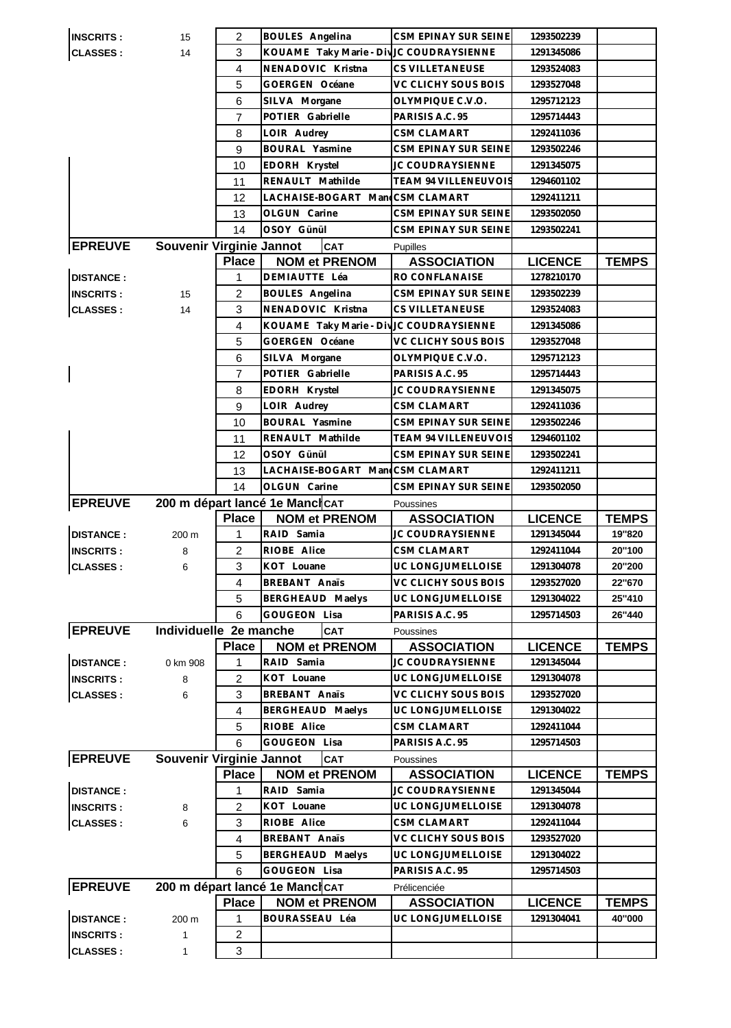| <b>INSCRITS:</b>                    | 15                       | 2                   | <b>BOULES</b> Angelina                   | CSM EPINAY SUR SEINE        | 1293502239     |              |
|-------------------------------------|--------------------------|---------------------|------------------------------------------|-----------------------------|----------------|--------------|
| <b>CLASSES:</b>                     | 14                       | 3                   | KOUAME Taky Marie - Div JC COUDRAYSIENNE |                             | 1291345086     |              |
|                                     |                          | 4                   | NENADOVIC Kristna                        | <b>CS VILLETANEUSE</b>      | 1293524083     |              |
|                                     |                          | 5                   | GOERGEN Océane                           | VC CLICHY SOUS BOIS         | 1293527048     |              |
|                                     |                          | 6                   | SILVA Morgane                            | OLYMPIQUE C.V.O.            | 1295712123     |              |
|                                     |                          | 7                   | POTIER Gabrielle                         | PARISIS A.C. 95             | 1295714443     |              |
|                                     |                          | 8                   | LOIR Audrey                              | <b>CSM CLAMART</b>          | 1292411036     |              |
|                                     |                          | 9                   | BOURAL Yasmine                           | CSM EPINAY SUR SEINE        | 1293502246     |              |
|                                     |                          | 10                  | EDORH Krystel                            | JC COUDRAYSIENNE            | 1291345075     |              |
|                                     |                          | 11                  | RENAULT Mathilde                         | <b>TEAM 94 VILLENEUVOIS</b> | 1294601102     |              |
|                                     |                          | 12                  | LACHAISE-BOGART Man CSM CLAMART          |                             | 1292411211     |              |
|                                     |                          | 13                  | OLGUN Carine                             | CSM EPINAY SUR SEINE        | 1293502050     |              |
|                                     |                          | 14                  | OSOY Günül                               | CSM EPINAY SUR SEINE        | 1293502241     |              |
| <b>EPREUVE</b>                      | Souvenir Virginie Jannot |                     | <b>CAT</b>                               | <b>Pupilles</b>             |                |              |
|                                     |                          | <b>Place</b>        | <b>NOM et PRENOM</b>                     | <b>ASSOCIATION</b>          | <b>LICENCE</b> | <b>TEMPS</b> |
| <b>DISTANCE:</b>                    |                          | 1                   | DEMIAUTTE Léa                            | RO CONFLANAISE              | 1278210170     |              |
| <b>INSCRITS:</b>                    | 15                       | 2                   | BOULES Angelina                          | CSM EPINAY SUR SEINE        | 1293502239     |              |
| <b>CLASSES:</b>                     | 14                       | 3                   | NENADOVIC Kristna                        | <b>CS VILLETANEUSE</b>      | 1293524083     |              |
|                                     |                          | $\overline{4}$      | KOUAME Taky Marie - Div                  | JC COUDRAYSIENNE            | 1291345086     |              |
|                                     |                          | 5                   | GOERGEN Océane                           | VC CLICHY SOUS BOIS         | 1293527048     |              |
|                                     |                          | 6                   | SILVA Morgane                            | OLYMPIQUE C.V.O.            | 1295712123     |              |
|                                     |                          | $\overline{7}$      | POTIER Gabrielle                         | PARISIS A.C. 95             | 1295714443     |              |
|                                     |                          | 8                   | EDORH Krystel                            | JC COUDRAYSIENNE            | 1291345075     |              |
|                                     |                          | 9                   | LOIR Audrey                              | <b>CSM CLAMART</b>          | 1292411036     |              |
|                                     |                          | 10                  | BOURAL Yasmine                           | CSM EPINAY SUR SEINE        | 1293502246     |              |
|                                     |                          | 11                  | RENAULT Mathilde                         | TEAM 94 VILLENEUVOIS        | 1294601102     |              |
|                                     |                          | 12                  | OSOY Günül                               | CSM EPINAY SUR SEINE        | 1293502241     |              |
|                                     |                          |                     | LACHAISE-BOGART Man CSM CLAMART          |                             | 1292411211     |              |
|                                     |                          | 13<br>14            | OLGUN Carine                             | CSM EPINAY SUR SEINE        | 1293502050     |              |
|                                     |                          |                     |                                          |                             |                |              |
|                                     |                          |                     |                                          |                             |                |              |
| <b>EPREUVE</b>                      |                          |                     | 200 m départ lancé 1e Mancicat           | Poussines                   |                |              |
|                                     |                          | <b>Place</b>        | <b>NOM et PRENOM</b>                     | <b>ASSOCIATION</b>          | <b>LICENCE</b> | <b>TEMPS</b> |
| <b>DISTANCE:</b>                    | 200 m                    | $\mathbf{1}$        | RAID Samia                               | JC COUDRAYSIENNE            | 1291345044     | 19"820       |
| <b>INSCRITS:</b>                    | 8                        | $\overline{c}$      | RIOBE Alice                              | <b>CSM CLAMART</b>          | 1292411044     | 20"100       |
| <b>CLASSES:</b>                     | 6                        | 3                   | KOT Louane                               | UC LONGJUMELLOISE           | 1291304078     | 20"200       |
|                                     |                          | 4                   | <b>BREBANT Anaïs</b>                     | VC CLICHY SOUS BOIS         | 1293527020     | 22"670       |
|                                     |                          | 5                   | BERGHEAUD Maelys                         | UC LONGJUMELLOISE           | 1291304022     | 25"410       |
|                                     |                          | 6                   | <b>GOUGEON Lisa</b>                      | PARISIS A.C. 95             | 1295714503     | 26"440       |
| <b>EPREUVE</b>                      | Individuelle 2e manche   |                     | <b>CAT</b>                               | Poussines                   |                |              |
|                                     |                          | <b>Place</b>        | <b>NOM et PRENOM</b>                     | <b>ASSOCIATION</b>          | <b>LICENCE</b> | <b>TEMPS</b> |
| <b>DISTANCE:</b>                    | 0 km 908                 | 1                   | RAID Samia                               | JC COUDRAYSIENNE            | 1291345044     |              |
| <b>INSCRITS:</b>                    | 8                        | 2                   | KOT Louane                               | UC LONGJUMELLOISE           | 1291304078     |              |
| <b>CLASSES:</b>                     | 6                        | 3                   | BREBANT Anaïs                            | VC CLICHY SOUS BOIS         | 1293527020     |              |
|                                     |                          | 4                   | BERGHEAUD Maelys                         | UC LONGJUMELLOISE           | 1291304022     |              |
|                                     |                          | 5                   | RIOBE Alice                              | <b>CSM CLAMART</b>          | 1292411044     |              |
|                                     |                          | 6                   | GOUGEON Lisa                             | PARISIS A.C. 95             | 1295714503     |              |
| <b>EPREUVE</b>                      | Souvenir Virginie Jannot |                     | CAT                                      | Poussines                   |                |              |
|                                     |                          | <b>Place</b>        | <b>NOM et PRENOM</b>                     | <b>ASSOCIATION</b>          | <b>LICENCE</b> | <b>TEMPS</b> |
| <b>DISTANCE:</b>                    |                          | 1                   | RAID Samia                               | JC COUDRAYSIENNE            | 1291345044     |              |
| <b>INSCRITS:</b>                    | 8                        | 2                   | KOT Louane                               | UC LONGJUMELLOISE           | 1291304078     |              |
| <b>CLASSES:</b>                     | 6                        | 3                   | RIOBE Alice                              | <b>CSM CLAMART</b>          | 1292411044     |              |
|                                     |                          | 4                   | <b>BREBANT Anaïs</b>                     | VC CLICHY SOUS BOIS         | 1293527020     |              |
|                                     |                          | 5                   | BERGHEAUD Maelys                         | UC LONGJUMELLOISE           | 1291304022     |              |
|                                     |                          | 6                   | <b>GOUGEON Lisa</b>                      | PARISIS A.C. 95             | 1295714503     |              |
| <b>EPREUVE</b>                      |                          |                     | 200 m départ lancé 1e MancicAT           | Prélicenciée                |                |              |
|                                     |                          | <b>Place</b>        | <b>NOM et PRENOM</b>                     | <b>ASSOCIATION</b>          | <b>LICENCE</b> | <b>TEMPS</b> |
| <b>DISTANCE:</b>                    | 200 m                    | 1                   | BOURASSEAU Léa                           | UC LONGJUMELLOISE           | 1291304041     | 40"000       |
| <b>INSCRITS:</b><br><b>CLASSES:</b> | 1                        | $\overline{c}$<br>3 |                                          |                             |                |              |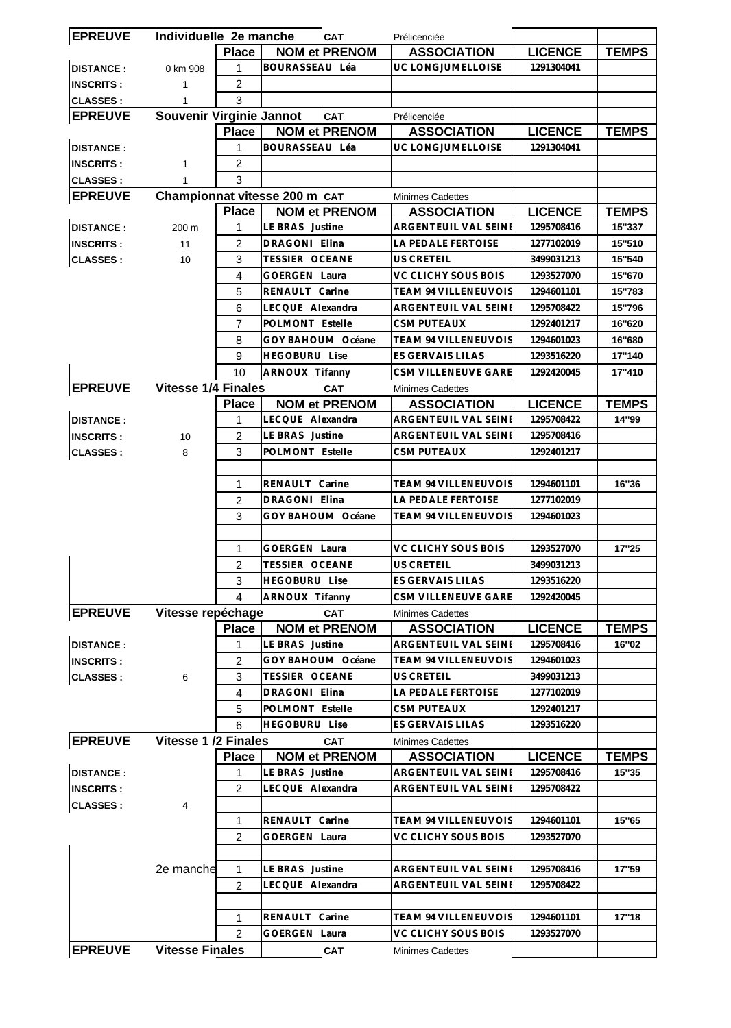| <b>EPREUVE</b>   | Individuelle 2e manche        |                |                       | <b>CAT</b>           | Prélicenciée                |                |              |
|------------------|-------------------------------|----------------|-----------------------|----------------------|-----------------------------|----------------|--------------|
|                  |                               | <b>Place</b>   |                       | <b>NOM et PRENOM</b> | <b>ASSOCIATION</b>          | <b>LICENCE</b> | <b>TEMPS</b> |
| <b>DISTANCE:</b> | 0 km 908                      | 1              | BOURASSEAU Léa        |                      | UC LONGJUMELLOISE           | 1291304041     |              |
| <b>INSCRITS:</b> | 1                             | 2              |                       |                      |                             |                |              |
| <b>CLASSES:</b>  | 1                             | 3              |                       |                      |                             |                |              |
| <b>EPREUVE</b>   | Souvenir Virginie Jannot      |                |                       | CAT                  | Prélicenciée                |                |              |
|                  |                               | <b>Place</b>   |                       | <b>NOM et PRENOM</b> | <b>ASSOCIATION</b>          | <b>LICENCE</b> | <b>TEMPS</b> |
| <b>DISTANCE:</b> |                               | 1              | BOURASSEAU Léa        |                      | UC LONGJUMELLOISE           | 1291304041     |              |
| <b>INSCRITS:</b> | 1                             | 2              |                       |                      |                             |                |              |
| <b>CLASSES:</b>  |                               | 3              |                       |                      |                             |                |              |
| <b>EPREUVE</b>   | Championnat vitesse 200 m CAT |                |                       |                      | <b>Minimes Cadettes</b>     |                |              |
|                  |                               | <b>Place</b>   |                       | <b>NOM et PRENOM</b> | <b>ASSOCIATION</b>          | <b>LICENCE</b> | <b>TEMPS</b> |
| <b>DISTANCE:</b> | 200 m                         | 1              | LE BRAS Justine       |                      | ARGENTEUIL VAL SEINE        | 1295708416     | 15"337       |
|                  |                               | $\overline{2}$ | DRAGONI Elina         |                      | LA PEDALE FERTOISE          | 1277102019     | 15"510       |
| <b>INSCRITS:</b> | 11                            | 3              | <b>TESSIER OCEANE</b> |                      | <b>US CRETEIL</b>           |                | 15"540       |
| <b>CLASSES:</b>  | 10                            |                |                       |                      |                             | 3499031213     |              |
|                  |                               | 4              | <b>GOERGEN Laura</b>  |                      | VC CLICHY SOUS BOIS         | 1293527070     | 15"670       |
|                  |                               | 5              | RENAULT Carine        |                      | TEAM 94 VILLENEUVOIS        | 1294601101     | 15"783       |
|                  |                               | 6              | LECQUE Alexandra      |                      | <b>ARGENTEUIL VAL SEINI</b> | 1295708422     | 15"796       |
|                  |                               | 7              | POLMONT Estelle       |                      | <b>CSM PUTEAUX</b>          | 1292401217     | 16"620       |
|                  |                               | 8              |                       | GOY BAHOUM Océane    | <b>TEAM 94 VILLENEUVOIS</b> | 1294601023     | 16"680       |
|                  |                               | 9              | <b>HEGOBURU Lise</b>  |                      | <b>ES GERVAIS LILAS</b>     | 1293516220     | 17"140       |
|                  |                               | 10             | ARNOUX Tifanny        |                      | <b>CSM VILLENEUVE GARE</b>  | 1292420045     | 17"410       |
| <b>EPREUVE</b>   | <b>Vitesse 1/4 Finales</b>    |                |                       | <b>CAT</b>           | <b>Minimes Cadettes</b>     |                |              |
|                  |                               | <b>Place</b>   |                       | <b>NOM et PRENOM</b> | <b>ASSOCIATION</b>          | <b>LICENCE</b> | <b>TEMPS</b> |
| <b>DISTANCE:</b> |                               | 1              | LECQUE Alexandra      |                      | ARGENTEUIL VAL SEINI        | 1295708422     | 14"99        |
| <b>INSCRITS:</b> | 10                            | 2              | LE BRAS Justine       |                      | ARGENTEUIL VAL SEINI        | 1295708416     |              |
| <b>CLASSES:</b>  | 8                             | 3              | POLMONT Estelle       |                      | <b>CSM PUTEAUX</b>          | 1292401217     |              |
|                  |                               |                |                       |                      |                             |                |              |
|                  |                               | 1              | RENAULT Carine        |                      | <b>TEAM 94 VILLENEUVOIS</b> | 1294601101     | 16"36        |
|                  |                               | $\overline{2}$ | DRAGONI Elina         |                      | LA PEDALE FERTOISE          | 1277102019     |              |
|                  |                               | 3              |                       | GOY BAHOUM Océane    | TEAM 94 VILLENEUVOIS        | 1294601023     |              |
|                  |                               |                |                       |                      |                             |                |              |
|                  |                               | 1              | <b>GOERGEN Laura</b>  |                      | VC CLICHY SOUS BOIS         | 1293527070     | 17"25        |
|                  |                               | 2              | TESSIER OCEANE        |                      | <b>US CRETEIL</b>           | 3499031213     |              |
|                  |                               | 3              | HEGOBURU Lise         |                      | ES GERVAIS LILAS            | 1293516220     |              |
|                  |                               | 4              | ARNOUX Tifanny        |                      | CSM VILLENEUVE GARE         | 1292420045     |              |
| <b>EPREUVE</b>   | Vitesse repéchage             |                |                       | CAT                  | <b>Minimes Cadettes</b>     |                |              |
|                  |                               | <b>Place</b>   |                       | <b>NOM et PRENOM</b> | <b>ASSOCIATION</b>          | <b>LICENCE</b> | <b>TEMPS</b> |
| <b>DISTANCE:</b> |                               | 1              | LE BRAS Justine       |                      | ARGENTEUIL VAL SEINE        | 1295708416     | 16"02        |
| <b>INSCRITS:</b> |                               | 2              |                       | GOY BAHOUM Océane    | <b>TEAM 94 VILLENEUVOIS</b> | 1294601023     |              |
| <b>CLASSES:</b>  | 6                             | 3              | <b>TESSIER OCEANE</b> |                      | <b>US CRETEIL</b>           | 3499031213     |              |
|                  |                               | 4              | <b>DRAGONI Elina</b>  |                      | LA PEDALE FERTOISE          | 1277102019     |              |
|                  |                               | 5              | POLMONT Estelle       |                      | <b>CSM PUTEAUX</b>          | 1292401217     |              |
|                  |                               | 6              | <b>HEGOBURU Lise</b>  |                      | ES GERVAIS LILAS            | 1293516220     |              |
| <b>EPREUVE</b>   | <b>Vitesse 1/2 Finales</b>    |                |                       | <b>CAT</b>           | <b>Minimes Cadettes</b>     |                |              |
|                  |                               | <b>Place</b>   |                       | <b>NOM et PRENOM</b> | <b>ASSOCIATION</b>          | <b>LICENCE</b> | <b>TEMPS</b> |
| <b>DISTANCE:</b> |                               | 1              | LE BRAS Justine       |                      | ARGENTEUIL VAL SEINE        | 1295708416     | 15"35        |
| <b>INSCRITS:</b> |                               | 2              | LECQUE Alexandra      |                      | ARGENTEUIL VAL SEINI        | 1295708422     |              |
| <b>CLASSES:</b>  | 4                             |                |                       |                      |                             |                |              |
|                  |                               | 1              | RENAULT Carine        |                      | TEAM 94 VILLENEUVOIS        | 1294601101     | 15"65        |
|                  |                               | 2              | GOERGEN Laura         |                      | VC CLICHY SOUS BOIS         | 1293527070     |              |
|                  |                               |                |                       |                      |                             |                |              |
|                  | 2e manche                     | 1              | LE BRAS Justine       |                      | ARGENTEUIL VAL SEINI        | 1295708416     | 17"59        |
|                  |                               | $\overline{2}$ | LECQUE Alexandra      |                      | ARGENTEUIL VAL SEINI        | 1295708422     |              |
|                  |                               |                |                       |                      |                             |                |              |
|                  |                               | 1              | RENAULT Carine        |                      | <b>TEAM 94 VILLENEUVOIS</b> | 1294601101     | 17"18        |
|                  |                               | 2              | <b>GOERGEN Laura</b>  |                      | VC CLICHY SOUS BOIS         | 1293527070     |              |
| <b>EPREUVE</b>   | <b>Vitesse Finales</b>        |                |                       | <b>CAT</b>           | <b>Minimes Cadettes</b>     |                |              |
|                  |                               |                |                       |                      |                             |                |              |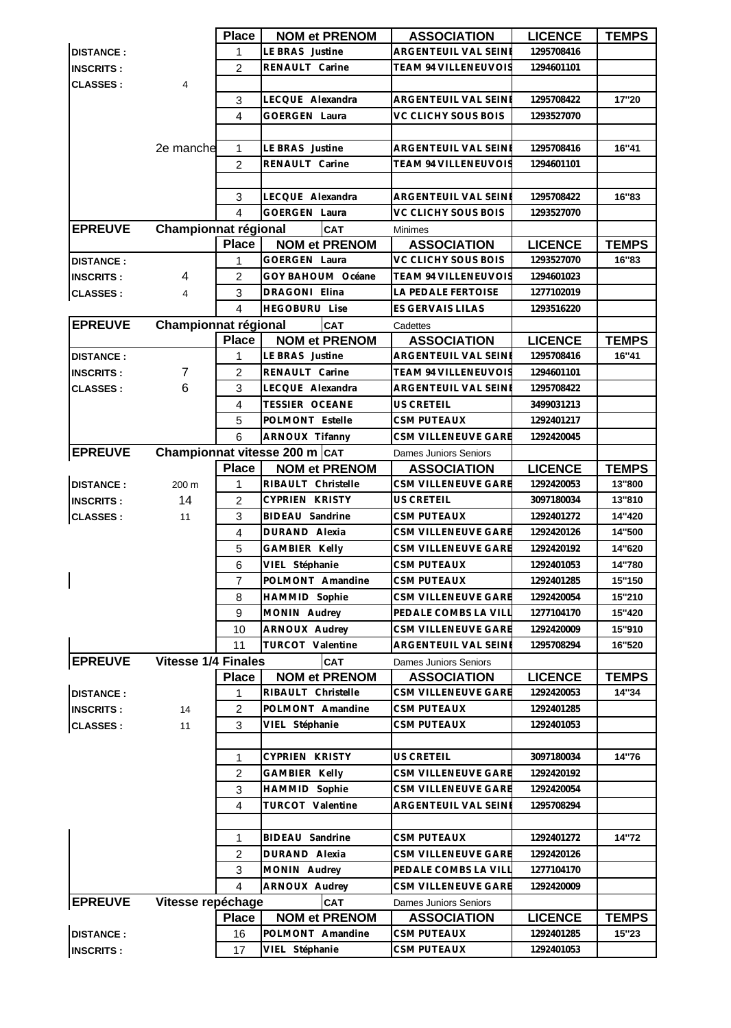|                  |                            | <b>Place</b>   | <b>NOM et PRENOM</b>          | <b>ASSOCIATION</b>           | <b>LICENCE</b> | <b>TEMPS</b> |
|------------------|----------------------------|----------------|-------------------------------|------------------------------|----------------|--------------|
| <b>DISTANCE:</b> |                            | 1              | LE BRAS Justine               | ARGENTEUIL VAL SEINE         | 1295708416     |              |
| <b>INSCRITS:</b> |                            | $\overline{2}$ | RENAULT Carine                | TEAM 94 VILLENEUVOIS         | 1294601101     |              |
| <b>CLASSES:</b>  | $\overline{4}$             |                |                               |                              |                |              |
|                  |                            | 3              | LECQUE Alexandra              | ARGENTEUIL VAL SEINE         | 1295708422     | 17"20        |
|                  |                            | 4              | <b>GOERGEN Laura</b>          | VC CLICHY SOUS BOIS          | 1293527070     |              |
|                  |                            |                |                               |                              |                |              |
|                  |                            |                | LE BRAS Justine               |                              |                | 16"41        |
|                  | 2e manche                  | 1              |                               | ARGENTEUIL VAL SEINE         | 1295708416     |              |
|                  |                            | $\overline{c}$ | RENAULT Carine                | <b>TEAM 94 VILLENEUVOIS</b>  | 1294601101     |              |
|                  |                            |                |                               |                              |                |              |
|                  |                            | 3              | LECQUE Alexandra              | ARGENTEUIL VAL SEINE         | 1295708422     | 16"83        |
|                  |                            | 4              | <b>GOERGEN Laura</b>          | VC CLICHY SOUS BOIS          | 1293527070     |              |
| <b>EPREUVE</b>   | Championnat régional       |                | <b>CAT</b>                    | <b>Minimes</b>               |                |              |
|                  |                            | <b>Place</b>   | <b>NOM et PRENOM</b>          | <b>ASSOCIATION</b>           | <b>LICENCE</b> | <b>TEMPS</b> |
| <b>DISTANCE:</b> |                            | 1              | <b>GOERGEN Laura</b>          | VC CLICHY SOUS BOIS          | 1293527070     | 16"83        |
| <b>INSCRITS:</b> | 4                          | 2              | GOY BAHOUM Océane             | <b>TEAM 94 VILLENEUVOIS</b>  | 1294601023     |              |
| <b>CLASSES:</b>  | 4                          | 3              | DRAGONI Elina                 | LA PEDALE FERTOISE           | 1277102019     |              |
|                  |                            | $\overline{4}$ | <b>HEGOBURU Lise</b>          | <b>ES GERVAIS LILAS</b>      | 1293516220     |              |
| <b>EPREUVE</b>   | Championnat régional       |                | <b>CAT</b>                    | Cadettes                     |                |              |
|                  |                            | <b>Place</b>   | <b>NOM et PRENOM</b>          | <b>ASSOCIATION</b>           | <b>LICENCE</b> | <b>TEMPS</b> |
| <b>DISTANCE:</b> |                            | 1              | LE BRAS Justine               | ARGENTEUIL VAL SEINE         | 1295708416     | 16"41        |
| <b>INSCRITS:</b> | 7                          | $\overline{2}$ | RENAULT Carine                | <b>TEAM 94 VILLENEUVOIS</b>  | 1294601101     |              |
| <b>CLASSES:</b>  | 6                          | 3              | LECQUE Alexandra              | ARGENTEUIL VAL SEINE         | 1295708422     |              |
|                  |                            | 4              | <b>TESSIER OCEANE</b>         | US CRETEIL                   | 3499031213     |              |
|                  |                            | 5              | POLMONT Estelle               | <b>CSM PUTEAUX</b>           | 1292401217     |              |
|                  |                            | 6              | <b>ARNOUX Tifanny</b>         | CSM VILLENEUVE GARE          | 1292420045     |              |
| <b>EPREUVE</b>   |                            |                | Championnat vitesse 200 m CAT | Dames Juniors Seniors        |                |              |
|                  |                            | <b>Place</b>   | <b>NOM et PRENOM</b>          | <b>ASSOCIATION</b>           | <b>LICENCE</b> | <b>TEMPS</b> |
| <b>DISTANCE:</b> | 200 m                      | 1              | RIBAULT Christelle            | CSM VILLENEUVE GARE          | 1292420053     | 13"800       |
| <b>INSCRITS:</b> | 14                         | 2              | CYPRIEN KRISTY                | US CRETEIL                   | 3097180034     | 13"810       |
| <b>CLASSES:</b>  | 11                         | 3              | <b>BIDEAU</b> Sandrine        | <b>CSM PUTEAUX</b>           | 1292401272     | 14"420       |
|                  |                            | $\overline{4}$ | DURAND Alexia                 | CSM VILLENEUVE GARE          | 1292420126     | 14"500       |
|                  |                            | 5              | GAMBIER Kelly                 | CSM VILLENEUVE GARE          | 1292420192     | 14"620       |
|                  |                            | 6              | VIEL Stéphanie                | <b>CSM PUTEAUX</b>           | 1292401053     | 14"780       |
| $\mathbf{I}$     |                            | $\overline{7}$ | POLMONT Amandine              | CSM PUTEAUX                  | 1292401285     | 15"150       |
|                  |                            | 8              | HAMMID Sophie                 | CSM VILLENEUVE GARE          | 1292420054     | 15"210       |
|                  |                            | 9              | MONIN Audrey                  | PEDALE COMBS LA VILL         | 1277104170     | 15"420       |
|                  |                            | 10             | ARNOUX Audrey                 | CSM VILLENEUVE GARE          | 1292420009     | 15"910       |
|                  |                            | 11             | TURCOT Valentine              | ARGENTEUIL VAL SEINE         | 1295708294     | 16"520       |
| <b>EPREUVE</b>   | <b>Vitesse 1/4 Finales</b> |                | <b>CAT</b>                    | <b>Dames Juniors Seniors</b> |                |              |
|                  |                            | <b>Place</b>   | <b>NOM et PRENOM</b>          | <b>ASSOCIATION</b>           | <b>LICENCE</b> | <b>TEMPS</b> |
| <b>DISTANCE:</b> |                            | 1              | RIBAULT Christelle            | CSM VILLENEUVE GARE          | 1292420053     | 14"34        |
| <b>INSCRITS:</b> | 14                         | $\overline{2}$ | POLMONT Amandine              | <b>CSM PUTEAUX</b>           | 1292401285     |              |
| <b>CLASSES:</b>  | 11                         | 3              | VIEL Stéphanie                | CSM PUTEAUX                  | 1292401053     |              |
|                  |                            |                |                               |                              |                |              |
|                  |                            | 1              | CYPRIEN KRISTY                | US CRETEIL                   | 3097180034     | 14"76        |
|                  |                            | 2              | GAMBIER Kelly                 | CSM VILLENEUVE GARE          | 1292420192     |              |
|                  |                            | 3              | HAMMID Sophie                 | CSM VILLENEUVE GARE          | 1292420054     |              |
|                  |                            | 4              | TURCOT Valentine              | ARGENTEUIL VAL SEINE         | 1295708294     |              |
|                  |                            |                |                               |                              |                |              |
|                  |                            | 1              | BIDEAU Sandrine               | <b>CSM PUTEAUX</b>           | 1292401272     | 14"72        |
|                  |                            | $\overline{c}$ | DURAND Alexia                 | CSM VILLENEUVE GARE          | 1292420126     |              |
|                  |                            | 3              | MONIN Audrey                  | PEDALE COMBS LA VILL         | 1277104170     |              |
|                  |                            | $\overline{4}$ | ARNOUX Audrey                 | CSM VILLENEUVE GARE          | 1292420009     |              |
| <b>EPREUVE</b>   | Vitesse repéchage          |                | <b>CAT</b>                    | Dames Juniors Seniors        |                |              |
|                  |                            | <b>Place</b>   | <b>NOM et PRENOM</b>          | <b>ASSOCIATION</b>           | <b>LICENCE</b> | <b>TEMPS</b> |
| <b>DISTANCE:</b> |                            | 16             | POLMONT Amandine              | <b>CSM PUTEAUX</b>           | 1292401285     | 15"23        |
| <b>INSCRITS:</b> |                            | 17             | VIEL Stéphanie                | CSM PUTEAUX                  | 1292401053     |              |
|                  |                            |                |                               |                              |                |              |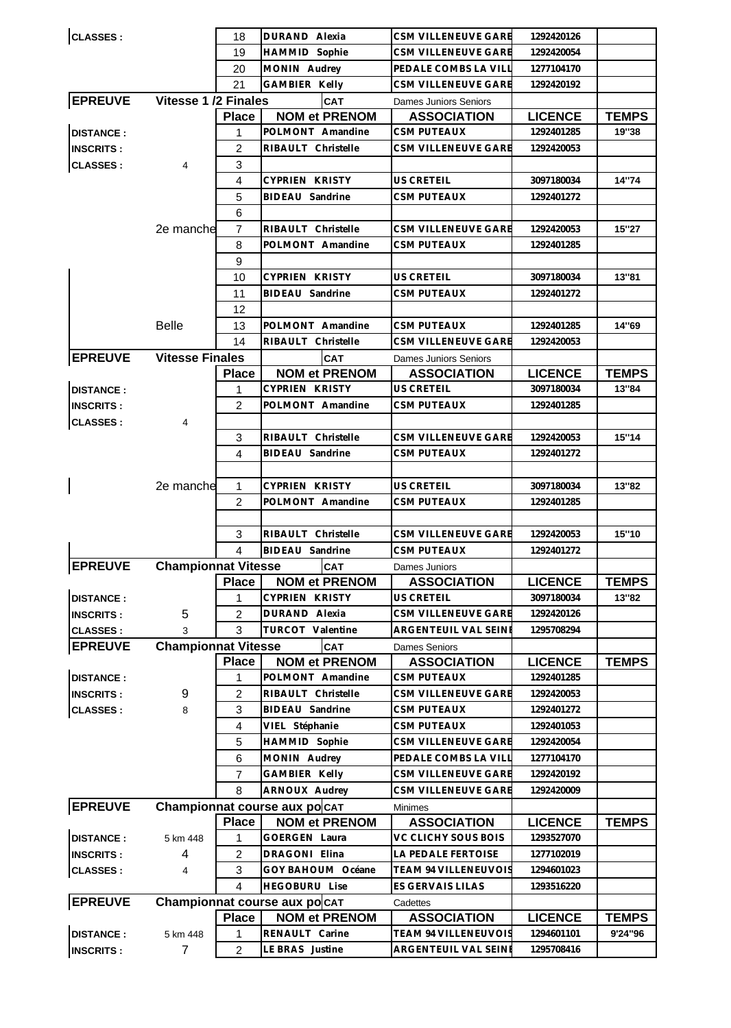| <b>CLASSES:</b>  |                            | 18             | DURAND Alexia                 | CSM VILLENEUVE GARE         | 1292420126     |              |
|------------------|----------------------------|----------------|-------------------------------|-----------------------------|----------------|--------------|
|                  |                            | 19             | HAMMID Sophie                 | CSM VILLENEUVE GARE         | 1292420054     |              |
|                  |                            | 20             | MONIN Audrey                  | PEDALE COMBS LA VILI        | 1277104170     |              |
|                  |                            | 21             | GAMBIER Kelly                 | CSM VILLENEUVE GARE         | 1292420192     |              |
| <b>EPREUVE</b>   | Vitesse 1 /2 Finales       |                | <b>CAT</b>                    | Dames Juniors Seniors       |                |              |
|                  |                            | <b>Place</b>   | <b>NOM et PRENOM</b>          | <b>ASSOCIATION</b>          | <b>LICENCE</b> | <b>TEMPS</b> |
| <b>DISTANCE:</b> |                            | 1              | POLMONT Amandine              | CSM PUTEAUX                 | 1292401285     | 19"38        |
| <b>INSCRITS:</b> |                            | 2              | RIBAULT Christelle            | CSM VILLENEUVE GARE         | 1292420053     |              |
| <b>CLASSES:</b>  | 4                          | 3              |                               |                             |                |              |
|                  |                            | $\overline{4}$ | <b>CYPRIEN KRISTY</b>         | <b>US CRETEIL</b>           | 3097180034     | 14"74        |
|                  |                            | 5              | BIDEAU Sandrine               | <b>CSM PUTEAUX</b>          | 1292401272     |              |
|                  |                            | 6              |                               |                             |                |              |
|                  | 2e manche                  | $\overline{7}$ | RIBAULT Christelle            | CSM VILLENEUVE GARE         | 1292420053     | 15"27        |
|                  |                            | 8              | POLMONT Amandine              | CSM PUTEAUX                 | 1292401285     |              |
|                  |                            | 9              |                               |                             |                |              |
|                  |                            | 10             | CYPRIEN KRISTY                | US CRETEIL                  | 3097180034     | 13"81        |
|                  |                            | 11             | <b>BIDEAU</b> Sandrine        |                             |                |              |
|                  |                            |                |                               | CSM PUTEAUX                 | 1292401272     |              |
|                  |                            | 12             |                               |                             |                |              |
|                  | <b>Belle</b>               | 13             | POLMONT Amandine              | <b>CSM PUTEAUX</b>          | 1292401285     | 14"69        |
|                  |                            | 14             | RIBAULT Christelle            | <b>CSM VILLENEUVE GARE</b>  | 1292420053     |              |
| <b>EPREUVE</b>   | <b>Vitesse Finales</b>     |                | <b>CAT</b>                    | Dames Juniors Seniors       |                |              |
|                  |                            | <b>Place</b>   | <b>NOM et PRENOM</b>          | <b>ASSOCIATION</b>          | <b>LICENCE</b> | <b>TEMPS</b> |
| <b>DISTANCE:</b> |                            | 1              | <b>CYPRIEN KRISTY</b>         | <b>US CRETEIL</b>           | 3097180034     | 13"84        |
| <b>INSCRITS:</b> |                            | $\overline{2}$ | POLMONT Amandine              | CSM PUTEAUX                 | 1292401285     |              |
| <b>CLASSES:</b>  | 4                          |                |                               |                             |                |              |
|                  |                            | 3              | RIBAULT Christelle            | CSM VILLENEUVE GARE         | 1292420053     | 15"14        |
|                  |                            | 4              | BIDEAU Sandrine               | <b>CSM PUTEAUX</b>          | 1292401272     |              |
|                  |                            |                |                               |                             |                |              |
|                  | 2e manche                  | 1              | <b>CYPRIEN KRISTY</b>         | <b>US CRETEIL</b>           | 3097180034     | 13"82        |
|                  |                            | $\overline{2}$ | POLMONT Amandine              | <b>CSM PUTEAUX</b>          | 1292401285     |              |
|                  |                            |                |                               |                             |                |              |
|                  |                            | 3              | RIBAULT Christelle            | CSM VILLENEUVE GARE         | 1292420053     | 15"10        |
|                  |                            | 4              | <b>BIDEAU</b> Sandrine        | CSM PUTEAUX                 | 1292401272     |              |
| <b>EPREUVE</b>   | <b>Championnat Vitesse</b> |                | CAT                           | Dames Juniors               |                |              |
|                  |                            | <b>Place</b>   | <b>NOM et PRENOM</b>          | <b>ASSOCIATION</b>          | <b>LICENCE</b> | <b>TEMPS</b> |
| <b>DISTANCE:</b> |                            | 1              | CYPRIEN KRISTY                | <b>US CRETEIL</b>           | 3097180034     | 13"82        |
| <b>INSCRITS:</b> | 5                          | 2              | DURAND Alexia                 | CSM VILLENEUVE GARE         | 1292420126     |              |
| <b>CLASSES:</b>  | 3                          | 3              | TURCOT Valentine              | ARGENTEUIL VAL SEINI        | 1295708294     |              |
| <b>EPREUVE</b>   | <b>Championnat Vitesse</b> |                | <b>CAT</b>                    | <b>Dames Seniors</b>        |                |              |
|                  |                            | <b>Place</b>   | <b>NOM et PRENOM</b>          | <b>ASSOCIATION</b>          | <b>LICENCE</b> | <b>TEMPS</b> |
| <b>DISTANCE:</b> |                            | 1              | POLMONT Amandine              | <b>CSM PUTEAUX</b>          | 1292401285     |              |
| <b>INSCRITS:</b> | 9                          | $\overline{2}$ | RIBAULT Christelle            | CSM VILLENEUVE GARE         | 1292420053     |              |
| <b>CLASSES:</b>  | 8                          | 3              | BIDEAU Sandrine               | <b>CSM PUTEAUX</b>          | 1292401272     |              |
|                  |                            | 4              | VIEL Stéphanie                | <b>CSM PUTEAUX</b>          | 1292401053     |              |
|                  |                            | 5              | HAMMID Sophie                 | CSM VILLENEUVE GARE         | 1292420054     |              |
|                  |                            | 6              | MONIN Audrey                  | PEDALE COMBS LA VILI        | 1277104170     |              |
|                  |                            | 7              | GAMBIER Kelly                 | CSM VILLENEUVE GARE         | 1292420192     |              |
|                  |                            | 8              | ARNOUX Audrey                 | CSM VILLENEUVE GARE         | 1292420009     |              |
| <b>EPREUVE</b>   |                            |                | Championnat course aux po CAT | <b>Minimes</b>              |                |              |
|                  |                            | <b>Place</b>   | <b>NOM et PRENOM</b>          | <b>ASSOCIATION</b>          | <b>LICENCE</b> | <b>TEMPS</b> |
| <b>DISTANCE:</b> | 5 km 448                   | 1              | <b>GOERGEN Laura</b>          | VC CLICHY SOUS BOIS         | 1293527070     |              |
|                  | 4                          | $\overline{c}$ | DRAGONI Elina                 | LA PEDALE FERTOISE          | 1277102019     |              |
| <b>INSCRITS:</b> |                            |                | GOY BAHOUM Océane             | TEAM 94 VILLENEUVOIS        | 1294601023     |              |
| <b>CLASSES:</b>  | 4                          | 3              |                               |                             |                |              |
|                  |                            | 4              | <b>HEGOBURU Lise</b>          | ES GERVAIS LILAS            | 1293516220     |              |
| <b>EPREUVE</b>   |                            |                | Championnat course aux po CAT | Cadettes                    |                |              |
|                  |                            | <b>Place</b>   | <b>NOM et PRENOM</b>          | <b>ASSOCIATION</b>          | <b>LICENCE</b> | <b>TEMPS</b> |
| <b>DISTANCE:</b> | 5 km 448                   | 1              | RENAULT Carine                | <b>TEAM 94 VILLENEUVOIS</b> | 1294601101     | 9'24"96      |
| <b>INSCRITS:</b> | 7                          | $\overline{2}$ | LE BRAS Justine               | ARGENTEUIL VAL SEINE        | 1295708416     |              |